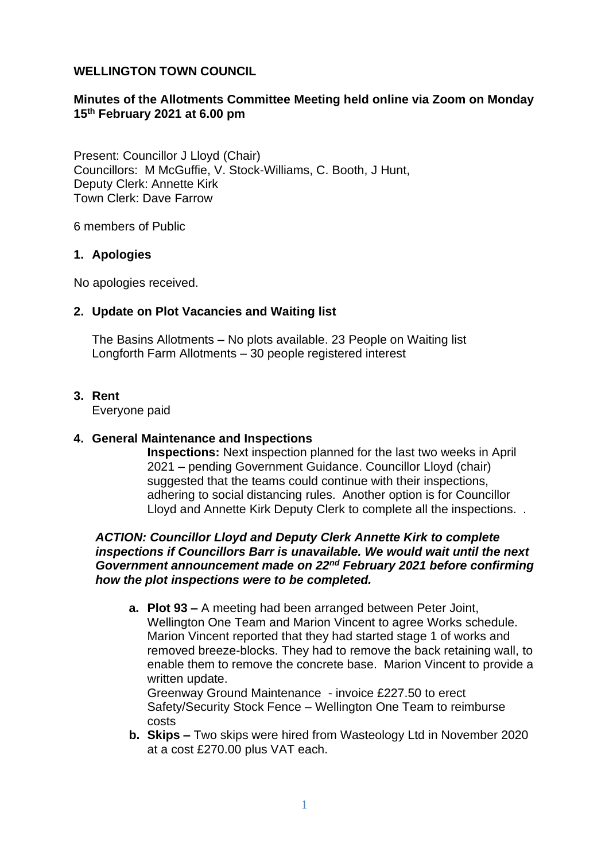### **WELLINGTON TOWN COUNCIL**

## **Minutes of the Allotments Committee Meeting held online via Zoom on Monday 15th February 2021 at 6.00 pm**

Present: Councillor J Lloyd (Chair) Councillors: M McGuffie, V. Stock-Williams, C. Booth, J Hunt, Deputy Clerk: Annette Kirk Town Clerk: Dave Farrow

6 members of Public

### **1. Apologies**

No apologies received.

### **2. Update on Plot Vacancies and Waiting list**

The Basins Allotments – No plots available. 23 People on Waiting list Longforth Farm Allotments – 30 people registered interest

#### **3. Rent**

Everyone paid

### **4. General Maintenance and Inspections**

**Inspections:** Next inspection planned for the last two weeks in April 2021 – pending Government Guidance. Councillor Lloyd (chair) suggested that the teams could continue with their inspections, adhering to social distancing rules. Another option is for Councillor Lloyd and Annette Kirk Deputy Clerk to complete all the inspections. .

### *ACTION: Councillor Lloyd and Deputy Clerk Annette Kirk to complete inspections if Councillors Barr is unavailable. We would wait until the next Government announcement made on 22nd February 2021 before confirming how the plot inspections were to be completed.*

**a. Plot 93 –** A meeting had been arranged between Peter Joint, Wellington One Team and Marion Vincent to agree Works schedule. Marion Vincent reported that they had started stage 1 of works and removed breeze-blocks. They had to remove the back retaining wall, to enable them to remove the concrete base. Marion Vincent to provide a written update.

Greenway Ground Maintenance - invoice £227.50 to erect Safety/Security Stock Fence – Wellington One Team to reimburse costs

**b. Skips –** Two skips were hired from Wasteology Ltd in November 2020 at a cost £270.00 plus VAT each.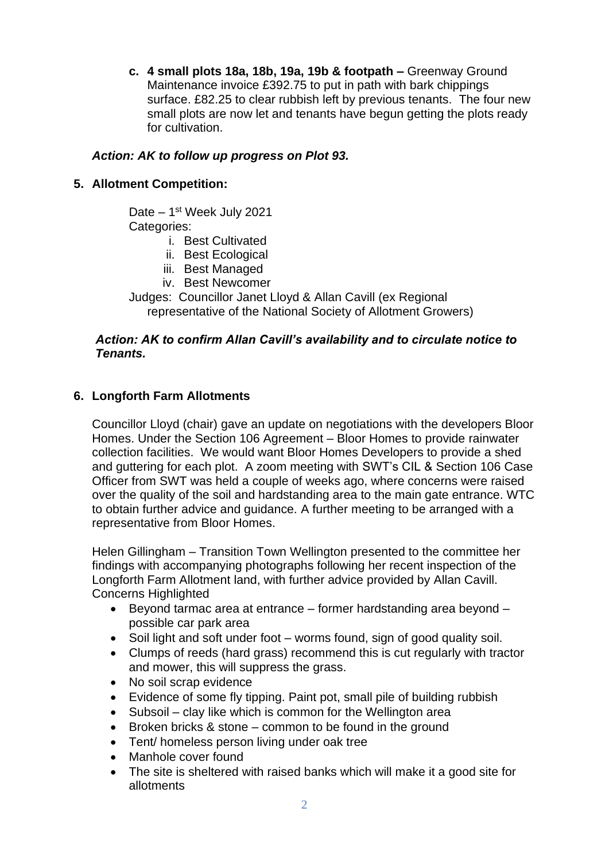**c. 4 small plots 18a, 18b, 19a, 19b & footpath –** Greenway Ground Maintenance invoice £392.75 to put in path with bark chippings surface. £82.25 to clear rubbish left by previous tenants. The four new small plots are now let and tenants have begun getting the plots ready for cultivation.

## *Action: AK to follow up progress on Plot 93.*

### **5. Allotment Competition:**

Date - 1<sup>st</sup> Week July 2021 Categories:

- i. Best Cultivated
- ii. Best Ecological
- iii. Best Managed
- iv. Best Newcomer

Judges: Councillor Janet Lloyd & Allan Cavill (ex Regional representative of the National Society of Allotment Growers)

### *Action: AK to confirm Allan Cavill's availability and to circulate notice to Tenants.*

### **6. Longforth Farm Allotments**

Councillor Lloyd (chair) gave an update on negotiations with the developers Bloor Homes. Under the Section 106 Agreement – Bloor Homes to provide rainwater collection facilities. We would want Bloor Homes Developers to provide a shed and guttering for each plot. A zoom meeting with SWT's CIL & Section 106 Case Officer from SWT was held a couple of weeks ago, where concerns were raised over the quality of the soil and hardstanding area to the main gate entrance. WTC to obtain further advice and guidance. A further meeting to be arranged with a representative from Bloor Homes.

Helen Gillingham – Transition Town Wellington presented to the committee her findings with accompanying photographs following her recent inspection of the Longforth Farm Allotment land, with further advice provided by Allan Cavill. Concerns Highlighted

- Beyond tarmac area at entrance former hardstanding area beyond possible car park area
- Soil light and soft under foot worms found, sign of good quality soil.
- Clumps of reeds (hard grass) recommend this is cut regularly with tractor and mower, this will suppress the grass.
- No soil scrap evidence
- Evidence of some fly tipping. Paint pot, small pile of building rubbish
- Subsoil clay like which is common for the Wellington area
- Broken bricks & stone common to be found in the ground
- Tent/ homeless person living under oak tree
- Manhole cover found
- The site is sheltered with raised banks which will make it a good site for allotments